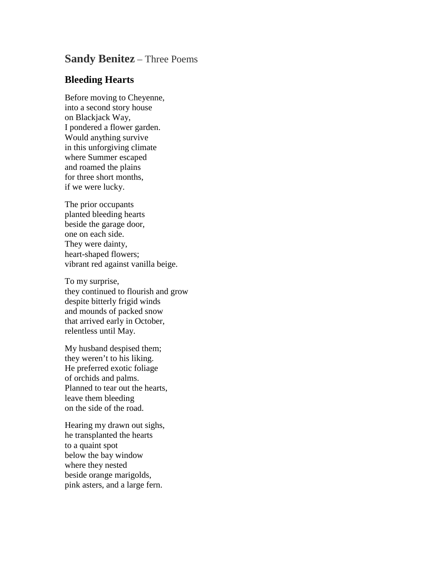## **Sandy Benitez** – Three Poems

## **Bleeding Hearts**

Before moving to Cheyenne, into a second story house on Blackjack Way, I pondered a flower garden. Would anything survive in this unforgiving climate where Summer escaped and roamed the plains for three short months, if we were lucky.

The prior occupants planted bleeding hearts beside the garage door, one on each side. They were dainty, heart-shaped flowers; vibrant red against vanilla beige.

To my surprise, they continued to flourish and grow despite bitterly frigid winds and mounds of packed snow that arrived early in October, relentless until May.

My husband despised them; they weren't to his liking. He preferred exotic foliage of orchids and palms. Planned to tear out the hearts, leave them bleeding on the side of the road.

Hearing my drawn out sighs, he transplanted the hearts to a quaint spot below the bay window where they nested beside orange marigolds, pink asters, and a large fern.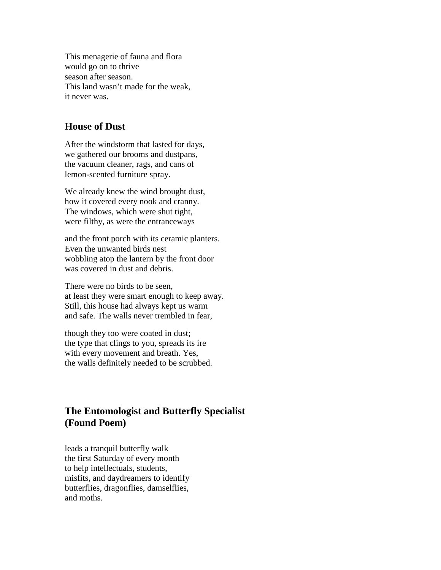This menagerie of fauna and flora would go on to thrive season after season. This land wasn't made for the weak, it never was.

## **House of Dust**

After the windstorm that lasted for days, we gathered our brooms and dustpans, the vacuum cleaner, rags, and cans of lemon-scented furniture spray.

We already knew the wind brought dust, how it covered every nook and cranny. The windows, which were shut tight, were filthy, as were the entranceways

and the front porch with its ceramic planters. Even the unwanted birds nest wobbling atop the lantern by the front door was covered in dust and debris.

There were no birds to be seen, at least they were smart enough to keep away. Still, this house had always kept us warm and safe. The walls never trembled in fear,

though they too were coated in dust; the type that clings to you, spreads its ire with every movement and breath. Yes, the walls definitely needed to be scrubbed.

## **The Entomologist and Butterfly Specialist (Found Poem)**

leads a tranquil butterfly walk the first Saturday of every month to help intellectuals, students, misfits, and daydreamers to identify butterflies, dragonflies, damselflies, and moths.